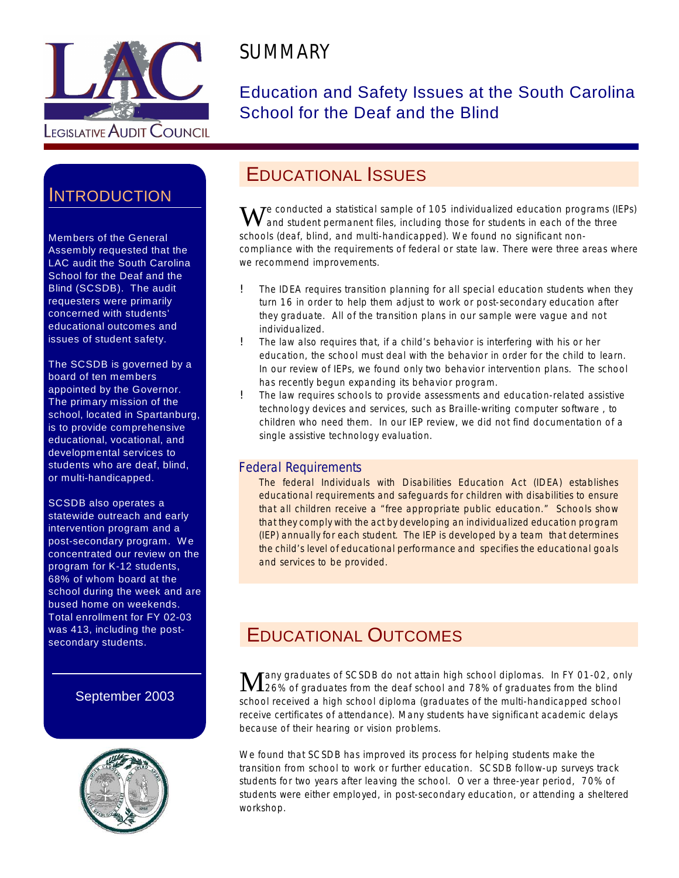

# **SUMMARY**

#### Education and Safety Issues at the South Carolina School for the Deaf and the Blind

## **INTRODUCTION**

Members of the General Assembly requested that the LAC audit the South Carolina School for the Deaf and the Blind (SCSDB). The audit requesters were primarily concerned with students' educational outcomes and issues of student safety.

The SCSDB is governed by a board of ten members appointed by the Governor. The primary mission of the school, located in Spartanburg, is to provide comprehensive educational, vocational, and developmental services to students who are deaf, blind, or multi-handicapped.

SCSDB also operates a statewide outreach and early intervention program and a post-secondary program. W e concentrated our review on the program for K-12 students, 68% of whom board at the school during the week and are bused home on weekends. Total enrollment for FY 02-03 was 413, including the postsecondary students.

#### September 2003



#### EDUCATIONAL ISSUES

 $\mathbf{W}$ e conducted a statistical sample of 105 individualized education programs (IEPs) and student permanent files, including those for students in each of the three schools (deaf, blind, and multi-handicapped). We found no significant noncompliance with the requirements of federal or state law. There were three areas where we recommend improvements.

- ! The IDEA requires transition planning for all special education students when they turn 16 in order to help them adjust to work or post-secondary education after they graduate. All of the transition plans in our sample were vague and not individualized.
- ! The law also requires that, if a child's behavior is interfering with his or her education, the school must deal with the behavior in order for the child to learn. In our review of IEPs, we found only two behavior intervention plans. The school has recently begun expanding its behavior program.
- ! The law requires schools to provide assessments and education-related assistive technology devices and services, such as Braille-writing computer software , to children who need them. In our IEP review, we did not find documentation of a single assistive technology evaluation.

#### Federal Requirements

The federal Individuals with Disabilities Education Act (IDEA) establishes educational requirements and safeguards for children with disabilities to ensure that all children receive a "free appropriate public education." Schools show that they comply with the act by developing an individualized education program (IEP) annually for each student. The IEP is developed by a team that determines the child's level of educational performance and specifies the educational goals and services to be provided.

## EDUCATIONAL OUTCOMES

Many graduates of SCSDB do not attain high school diplomas. In FY 01-02, only<br>M26% of graduates from the deaf school and 78% of graduates from the blind 26% of graduates from the deaf school and 78% of graduates from the blind school received a high school diploma (graduates of the multi-handicapped school receive certificates of attendance). Many students have significant academic delays because of their hearing or vision problems.

We found that SCSDB has improved its process for helping students make the transition from school to work or further education. SCSDB follow-up surveys track students for two years after leaving the school. Over a three-year period, 70% of students were either employed, in post-secondary education, or attending a sheltered workshop.